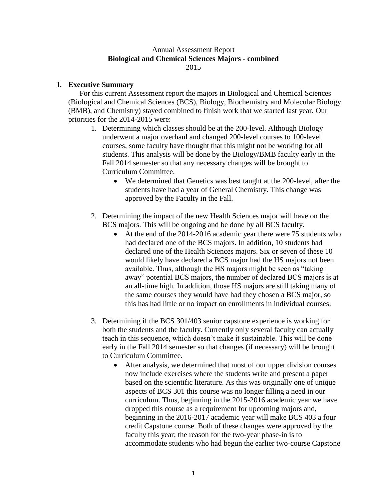## Annual Assessment Report **Biological and Chemical Sciences Majors - combined** 2015

# **I. Executive Summary**

For this current Assessment report the majors in Biological and Chemical Sciences (Biological and Chemical Sciences (BCS), Biology, Biochemistry and Molecular Biology (BMB), and Chemistry) stayed combined to finish work that we started last year. Our priorities for the 2014-2015 were:

- 1. Determining which classes should be at the 200-level. Although Biology underwent a major overhaul and changed 200-level courses to 100-level courses, some faculty have thought that this might not be working for all students. This analysis will be done by the Biology/BMB faculty early in the Fall 2014 semester so that any necessary changes will be brought to Curriculum Committee.
	- We determined that Genetics was best taught at the 200-level, after the students have had a year of General Chemistry. This change was approved by the Faculty in the Fall.
- 2. Determining the impact of the new Health Sciences major will have on the BCS majors. This will be ongoing and be done by all BCS faculty.
	- At the end of the 2014-2016 academic year there were 75 students who had declared one of the BCS majors. In addition, 10 students had declared one of the Health Sciences majors. Six or seven of these 10 would likely have declared a BCS major had the HS majors not been available. Thus, although the HS majors might be seen as "taking away" potential BCS majors, the number of declared BCS majors is at an all-time high. In addition, those HS majors are still taking many of the same courses they would have had they chosen a BCS major, so this has had little or no impact on enrollments in individual courses.
- 3. Determining if the BCS 301/403 senior capstone experience is working for both the students and the faculty. Currently only several faculty can actually teach in this sequence, which doesn't make it sustainable. This will be done early in the Fall 2014 semester so that changes (if necessary) will be brought to Curriculum Committee.
	- After analysis, we determined that most of our upper division courses now include exercises where the students write and present a paper based on the scientific literature. As this was originally one of unique aspects of BCS 301 this course was no longer filling a need in our curriculum. Thus, beginning in the 2015-2016 academic year we have dropped this course as a requirement for upcoming majors and, beginning in the 2016-2017 academic year will make BCS 403 a four credit Capstone course. Both of these changes were approved by the faculty this year; the reason for the two-year phase-in is to accommodate students who had begun the earlier two-course Capstone